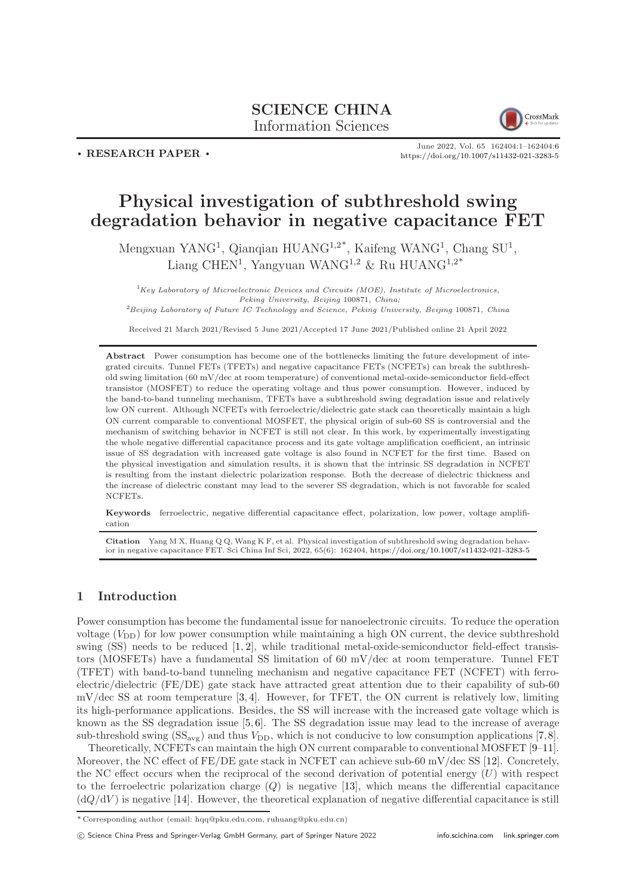## SCIENCE CHINA Information Sciences



. RESEARCH PAPER .

June 2022, Vol. 65 162404:1–162404[:6](#page-5-0) <https://doi.org/10.1007/s11432-021-3283-5>

# Physical investigation of subthreshold swing degradation behavior in negative capacitance FET

Mengxuan YANG<sup>1</sup>, Qianqian HUANG<sup>1,2\*</sup>, Kaifeng WANG<sup>1</sup>, Chang SU<sup>1</sup>, Liang CHEN<sup>1</sup>, Yangyuan WANG<sup>1,2</sup> & Ru HUANG<sup>1,2\*</sup>

 ${}^{1}$ Key Laboratory of Microelectronic Devices and Circuits (MOE), Institute of Microelectronics, Peking University, Beijing 100871, China; <sup>2</sup>Beijing Laboratory of Future IC Technology and Science, Peking University, Beijing 100871, China

Received 21 March 2021/Revised 5 June 2021/Accepted 17 June 2021/Published online 21 April 2022

Abstract Power consumption has become one of the bottlenecks limiting the future development of integrated circuits. Tunnel FETs (TFETs) and negative capacitance FETs (NCFETs) can break the subthreshold swing limitation (60 mV/dec at room temperature) of conventional metal-oxide-semiconductor field-effect transistor (MOSFET) to reduce the operating voltage and thus power consumption. However, induced by the band-to-band tunneling mechanism, TFETs have a subthreshold swing degradation issue and relatively low ON current. Although NCFETs with ferroelectric/dielectric gate stack can theoretically maintain a high ON current comparable to conventional MOSFET, the physical origin of sub-60 SS is controversial and the mechanism of switching behavior in NCFET is still not clear. In this work, by experimentally investigating the whole negative differential capacitance process and its gate voltage amplification coefficient, an intrinsic issue of SS degradation with increased gate voltage is also found in NCFET for the first time. Based on the physical investigation and simulation results, it is shown that the intrinsic SS degradation in NCFET is resulting from the instant dielectric polarization response. Both the decrease of dielectric thickness and the increase of dielectric constant may lead to the severer SS degradation, which is not favorable for scaled NCFETs.

Keywords ferroelectric, negative differential capacitance effect, polarization, low power, voltage amplification

Citation Yang M X, Huang Q Q, Wang K F, et al. Physical investigation of subthreshold swing degradation behavior in negative capacitance FET. Sci China Inf Sci, 2022, 65(6): 162404, <https://doi.org/10.1007/s11432-021-3283-5>

## 1 Introduction

Power consumption has become the fundamental issue for nanoelectronic circuits. To reduce the operation voltage  $(V_{\text{DD}})$  for low power consumption while maintaining a high ON current, the device subthreshold swing  $(SS)$  needs to be reduced  $[1, 2]$  $[1, 2]$ , while traditional metal-oxide-semiconductor field-effect transistors (MOSFETs) have a fundamental SS limitation of 60 mV/dec at room temperature. Tunnel FET (TFET) with band-to-band tunneling mechanism and negative capacitance FET (NCFET) with ferroelectric/dielectric (FE/DE) gate stack have attracted great attention due to their capability of sub-60 mV/dec SS at room temperature [\[3,](#page-5-3) [4\]](#page-5-4). However, for TFET, the ON current is relatively low, limiting its high-performance applications. Besides, the SS will increase with the increased gate voltage which is known as the SS degradation issue  $[5, 6]$  $[5, 6]$ . The SS degradation issue may lead to the increase of average sub-threshold swing  $(SS_{avg})$  and thus  $V_{DD}$ , which is not conducive to low consumption applications [\[7,](#page-5-7)[8\]](#page-5-8).

Theoretically, NCFETs can maintain the high ON current comparable to conventional MOSFET [\[9](#page-5-9)[–11\]](#page-5-10). Moreover, the NC effect of FE/DE gate stack in NCFET can achieve sub-60 mV/dec SS [\[12\]](#page-5-11). Concretely, the NC effect occurs when the reciprocal of the second derivation of potential energy  $(U)$  with respect to the ferroelectric polarization charge  $(Q)$  is negative [\[13\]](#page-5-12), which means the differential capacitance  $(dQ/dV)$  is negative [\[14\]](#page-5-13). However, the theoretical explanation of negative differential capacitance is still

 $\overline{\text{*}$  Corresponding author (email: hqq@pku.edu.com, ruhuang@pku.edu.cn)

c Science China Press and Springer-Verlag GmbH Germany, part of Springer Nature 2022 <info.scichina.com><link.springer.com>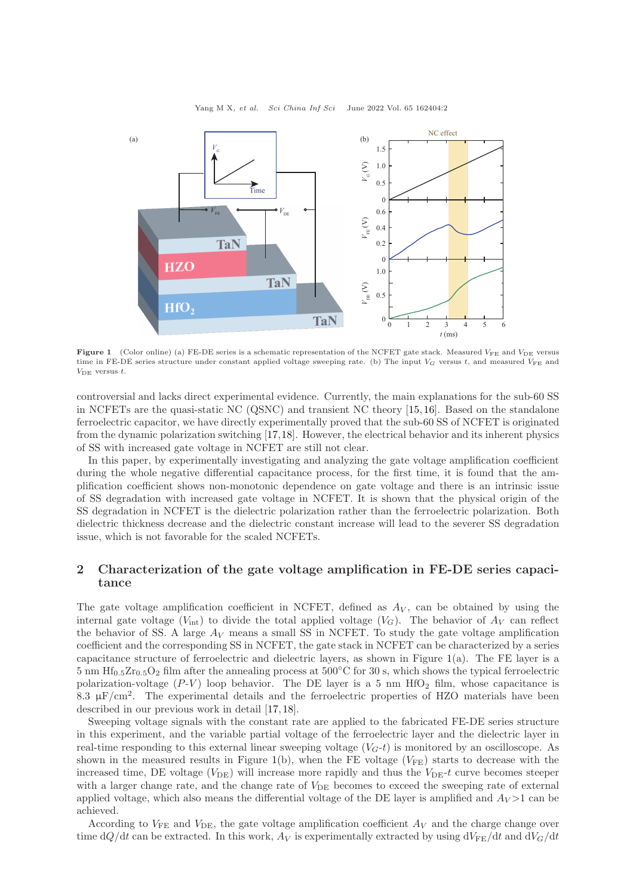Yang M X, et al. Sci China Inf Sci June 2022 Vol. 65 162404:2

<span id="page-1-0"></span>

Figure 1 (Color online) (a) FE-DE series is a schematic representation of the NCFET gate stack. Measured  $V_{\text{FE}}$  and  $V_{\text{DE}}$  versus time in FE-DE series structure under constant applied voltage sweeping rate. (b) The input  $V_G$  versus t, and measured  $V_{FE}$  and  $V_{\text{DE}}$  versus t.

controversial and lacks direct experimental evidence. Currently, the main explanations for the sub-60 SS in NCFETs are the quasi-static NC (QSNC) and transient NC theory [\[15,](#page-5-14) [16\]](#page-5-15). Based on the standalone ferroelectric capacitor, we have directly experimentally proved that the sub-60 SS of NCFET is originated from the dynamic polarization switching [\[17,](#page-5-16)[18\]](#page-5-17). However, the electrical behavior and its inherent physics of SS with increased gate voltage in NCFET are still not clear.

In this paper, by experimentally investigating and analyzing the gate voltage amplification coefficient during the whole negative differential capacitance process, for the first time, it is found that the amplification coefficient shows non-monotonic dependence on gate voltage and there is an intrinsic issue of SS degradation with increased gate voltage in NCFET. It is shown that the physical origin of the SS degradation in NCFET is the dielectric polarization rather than the ferroelectric polarization. Both dielectric thickness decrease and the dielectric constant increase will lead to the severer SS degradation issue, which is not favorable for the scaled NCFETs.

## 2 Characterization of the gate voltage amplification in FE-DE series capacitance

The gate voltage amplification coefficient in NCFET, defined as  $A_V$ , can be obtained by using the internal gate voltage  $(V_{\text{int}})$  to divide the total applied voltage  $(V_G)$ . The behavior of  $A_V$  can reflect the behavior of SS. A large  $A_V$  means a small SS in NCFET. To study the gate voltage amplification coefficient and the corresponding SS in NCFET, the gate stack in NCFET can be characterized by a series capacitance structure of ferroelectric and dielectric layers, as shown in Figure  $1(a)$  $1(a)$ . The FE layer is a 5 nm  $\text{Hf}_{0.5}\text{Zr}_{0.5}\text{O}_2$  film after the annealing process at 500°C for 30 s, which shows the typical ferroelectric polarization-voltage  $(P-V)$  loop behavior. The DE layer is a 5 nm HfO<sub>2</sub> film, whose capacitance is 8.3  $\mu$ F/cm<sup>2</sup>. The experimental details and the ferroelectric properties of HZO materials have been described in our previous work in detail [\[17,](#page-5-16) [18\]](#page-5-17).

Sweeping voltage signals with the constant rate are applied to the fabricated FE-DE series structure in this experiment, and the variable partial voltage of the ferroelectric layer and the dielectric layer in real-time responding to this external linear sweeping voltage  $(V<sub>G</sub>-t)$  is monitored by an oscilloscope. As shown in the measured results in Figure [1\(](#page-1-0)b), when the FE voltage  $(V_{FE})$  starts to decrease with the increased time, DE voltage ( $V_{\text{DE}}$ ) will increase more rapidly and thus the  $V_{\text{DE}}-t$  curve becomes steeper with a larger change rate, and the change rate of  $V_{\text{DE}}$  becomes to exceed the sweeping rate of external applied voltage, which also means the differential voltage of the DE layer is amplified and  $A_V > 1$  can be achieved.

According to  $V_{\text{FE}}$  and  $V_{\text{DE}}$ , the gate voltage amplification coefficient  $A_V$  and the charge change over time dQ/dt can be extracted. In this work,  $A_V$  is experimentally extracted by using  $dV_{FE}/dt$  and  $dV_G/dt$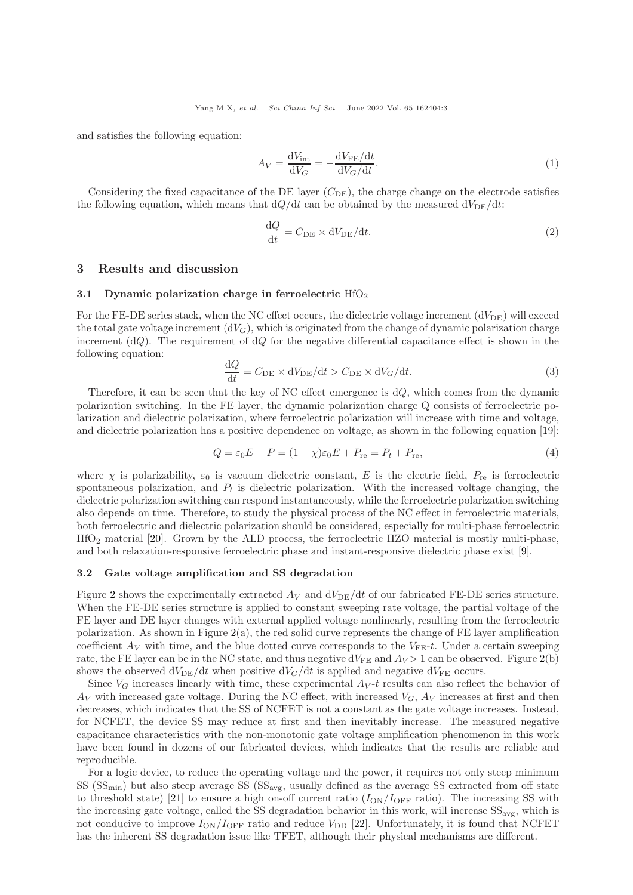and satisfies the following equation:

$$
A_V = \frac{dV_{\text{int}}}{dV_G} = -\frac{dV_{\text{FE}}/dt}{dV_G/dt}.
$$
\n(1)

Considering the fixed capacitance of the DE layer  $(C_{DE})$ , the charge change on the electrode satisfies the following equation, which means that  $dQ/dt$  can be obtained by the measured  $dV_{DE}/dt$ :

$$
\frac{\mathrm{d}Q}{\mathrm{d}t} = C_{\mathrm{DE}} \times \mathrm{d}V_{\mathrm{DE}}/\mathrm{d}t. \tag{2}
$$

#### 3 Results and discussion

#### 3.1 Dynamic polarization charge in ferroelectric  $HfO<sub>2</sub>$

For the FE-DE series stack, when the NC effect occurs, the dielectric voltage increment  $(dV_{DE})$  will exceed the total gate voltage increment  $(dV_G)$ , which is originated from the change of dynamic polarization charge increment  $(dQ)$ . The requirement of  $dQ$  for the negative differential capacitance effect is shown in the following equation:

$$
\frac{\mathrm{d}Q}{\mathrm{d}t} = C_{\mathrm{DE}} \times \mathrm{d}V_{\mathrm{DE}}/\mathrm{d}t > C_{\mathrm{DE}} \times \mathrm{d}V_G/\mathrm{d}t. \tag{3}
$$

Therefore, it can be seen that the key of NC effect emergence is dQ, which comes from the dynamic polarization switching. In the FE layer, the dynamic polarization charge Q consists of ferroelectric polarization and dielectric polarization, where ferroelectric polarization will increase with time and voltage, and dielectric polarization has a positive dependence on voltage, as shown in the following equation [\[19\]](#page-5-18):

$$
Q = \varepsilon_0 E + P = (1 + \chi)\varepsilon_0 E + P_{\text{re}} = P_t + P_{\text{re}},\tag{4}
$$

where  $\chi$  is polarizability,  $\varepsilon_0$  is vacuum dielectric constant, E is the electric field,  $P_{\text{re}}$  is ferroelectric spontaneous polarization, and  $P_t$  is dielectric polarization. With the increased voltage changing, the dielectric polarization switching can respond instantaneously, while the ferroelectric polarization switching also depends on time. Therefore, to study the physical process of the NC effect in ferroelectric materials, both ferroelectric and dielectric polarization should be considered, especially for multi-phase ferroelectric HfO<sup>2</sup> material [\[20\]](#page-5-19). Grown by the ALD process, the ferroelectric HZO material is mostly multi-phase, and both relaxation-responsive ferroelectric phase and instant-responsive dielectric phase exist [\[9\]](#page-5-9).

#### 3.2 Gate voltage amplification and SS degradation

Figure [2](#page-3-0) shows the experimentally extracted  $A_V$  and  $dV_{DE}/dt$  of our fabricated FE-DE series structure. When the FE-DE series structure is applied to constant sweeping rate voltage, the partial voltage of the FE layer and DE layer changes with external applied voltage nonlinearly, resulting from the ferroelectric polarization. As shown in Figure  $2(a)$  $2(a)$ , the red solid curve represents the change of FE layer amplification coefficient  $A_V$  with time, and the blue dotted curve corresponds to the  $V_{FE}$ -t. Under a certain sweeping rate, the FE layer can be in the NC state, and thus negative  $dV_{FF}$  and  $A_V > 1$  can be observed. Figure [2\(](#page-3-0)b) shows the observed  $dV_{DE}/dt$  when positive  $dV_G/dt$  is applied and negative  $dV_{FE}$  occurs.

Since  $V_G$  increases linearly with time, these experimental  $A_V$ -t results can also reflect the behavior of  $A_V$  with increased gate voltage. During the NC effect, with increased  $V_G$ ,  $A_V$  increases at first and then decreases, which indicates that the SS of NCFET is not a constant as the gate voltage increases. Instead, for NCFET, the device SS may reduce at first and then inevitably increase. The measured negative capacitance characteristics with the non-monotonic gate voltage amplification phenomenon in this work have been found in dozens of our fabricated devices, which indicates that the results are reliable and reproducible.

For a logic device, to reduce the operating voltage and the power, it requires not only steep minimum SS  $(\text{SS}_{\text{min}})$  but also steep average SS  $(\text{SS}_{\text{avg}})$ , usually defined as the average SS extracted from off state to threshold state) [\[21\]](#page-5-20) to ensure a high on-off current ratio  $(I_{ON}/I_{OFF}$  ratio). The increasing SS with the increasing gate voltage, called the SS degradation behavior in this work, will increase  $SS_{\text{avg}}$ , which is not conducive to improve  $I_{\text{ON}}/I_{\text{OFF}}$  ratio and reduce  $V_{\text{DD}}$  [\[22\]](#page-5-21). Unfortunately, it is found that NCFET has the inherent SS degradation issue like TFET, although their physical mechanisms are different.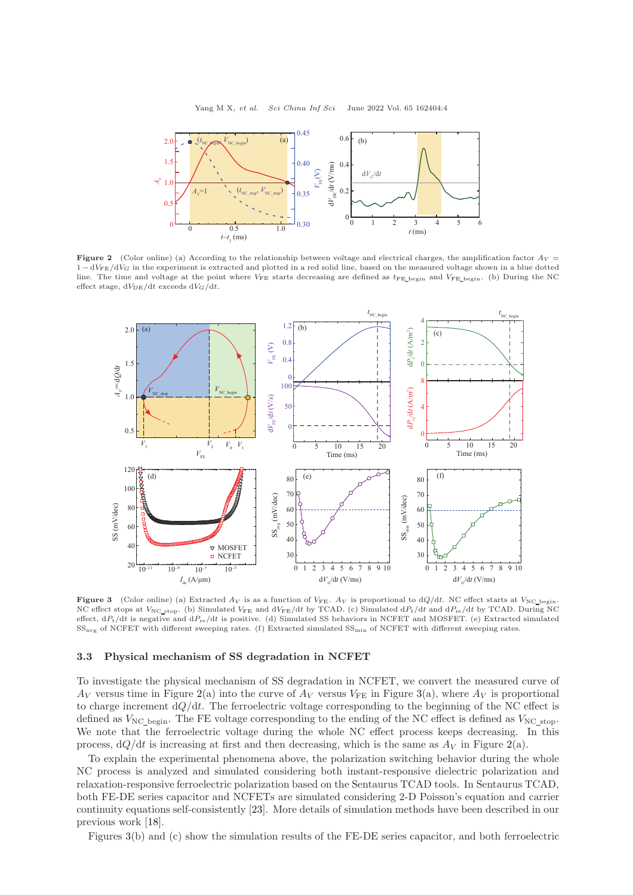<span id="page-3-0"></span>

**Figure 2** (Color online) (a) According to the relationship between voltage and electrical charges, the amplification factor  $A_V =$  $1 - dV_{FE}/dV_G$  in the experiment is extracted and plotted in a red solid line, based on the measured voltage shown in a blue dotted line. The time and voltage at the point where  $V_{FE}$  starts decreasing are defined as  $t_{FE}$  begin and  $V_{FE}$  begin. (b) During the NC effect stage,  $dV_{DE}/dt$  exceeds  $dV_G/dt$ .

<span id="page-3-1"></span>

**Figure 3** (Color online) (a) Extracted  $A_V$  is as a function of  $V_{FE}$ .  $A_V$  is proportional to dQ/dt. NC effect starts at  $V_{NC}$  begin. NC effect stops at  $V_{NC\_stop}$ . (b) Simulated  $V_{FE}$  and  $dV_{FE}/dt$  by TCAD. (c) Simulated  $dP_t/dt$  and  $dP_{re}/dt$  by TCAD. During NC effect,  $dP_t/dt$  is negative and  $dP_{re}/dt$  is positive. (d) Simulated SS behaviors in NCFET and MOSFET. (e) Extracted simulated SSavg of NCFET with different sweeping rates. (f) Extracted simulated SSmin of NCFET with different sweeping rates.

#### 3.3 Physical mechanism of SS degradation in NCFET

To investigate the physical mechanism of SS degradation in NCFET, we convert the measured curve of  $A_V$  versus time in Figure [2\(](#page-3-0)a) into the curve of  $A_V$  versus  $V_{FE}$  in Figure [3\(](#page-3-1)a), where  $A_V$  is proportional to charge increment  $dQ/dt$ . The ferroelectric voltage corresponding to the beginning of the NC effect is defined as  $V_{\text{NC}}$  begin. The FE voltage corresponding to the ending of the NC effect is defined as  $V_{\text{NC}}$  stop. We note that the ferroelectric voltage during the whole NC effect process keeps decreasing. In this process,  $dQ/dt$  is increasing at first and then decreasing, which is the same as  $A_V$  in Figure [2\(](#page-3-0)a).

To explain the experimental phenomena above, the polarization switching behavior during the whole NC process is analyzed and simulated considering both instant-responsive dielectric polarization and relaxation-responsive ferroelectric polarization based on the Sentaurus TCAD tools. In Sentaurus TCAD, both FE-DE series capacitor and NCFETs are simulated considering 2-D Poisson's equation and carrier continuity equations self-consistently [\[23\]](#page-5-22). More details of simulation methods have been described in our previous work [\[18\]](#page-5-17).

Figures [3\(](#page-3-1)b) and (c) show the simulation results of the FE-DE series capacitor, and both ferroelectric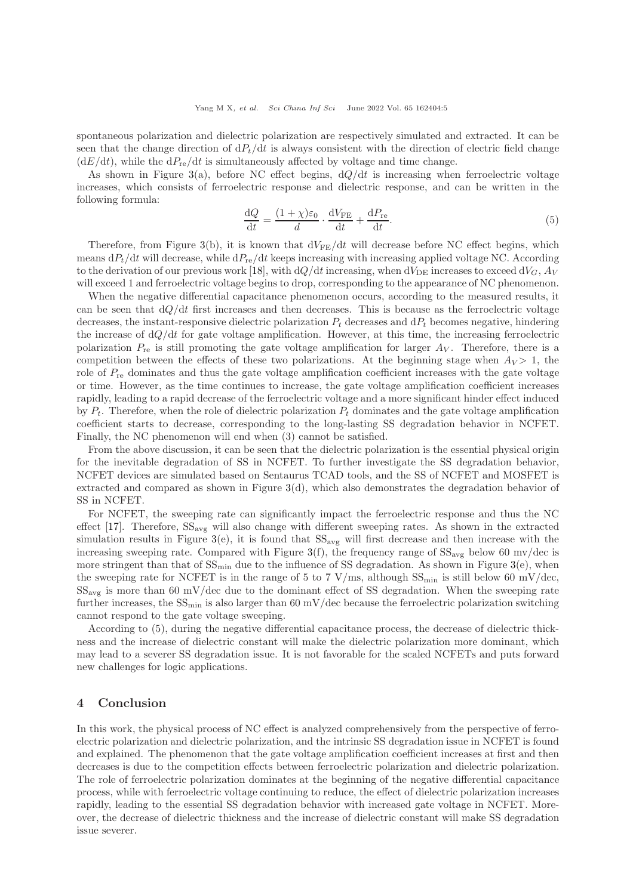spontaneous polarization and dielectric polarization are respectively simulated and extracted. It can be seen that the change direction of  $dP_t/dt$  is always consistent with the direction of electric field change  $(dE/dt)$ , while the  $dP_{\text{re}}/dt$  is simultaneously affected by voltage and time change.

As shown in Figure [3\(](#page-3-1)a), before NC effect begins,  $dQ/dt$  is increasing when ferroelectric voltage increases, which consists of ferroelectric response and dielectric response, and can be written in the following formula:

$$
\frac{\mathrm{d}Q}{\mathrm{d}t} = \frac{(1+\chi)\varepsilon_0}{d} \cdot \frac{\mathrm{d}V_{\mathrm{FE}}}{\mathrm{d}t} + \frac{\mathrm{d}P_{\mathrm{re}}}{\mathrm{d}t}.\tag{5}
$$

Therefore, from Figure [3\(](#page-3-1)b), it is known that  $dV_{FE}/dt$  will decrease before NC effect begins, which means  $dP_t/dt$  will decrease, while  $dP_{re}/dt$  keeps increasing with increasing applied voltage NC. According to the derivation of our previous work [\[18\]](#page-5-17), with  $dQ/dt$  increasing, when  $dV_{\text{DE}}$  increases to exceed  $dV_G$ ,  $A_V$ will exceed 1 and ferroelectric voltage begins to drop, corresponding to the appearance of NC phenomenon.

When the negative differential capacitance phenomenon occurs, according to the measured results, it can be seen that  $dQ/dt$  first increases and then decreases. This is because as the ferroelectric voltage decreases, the instant-responsive dielectric polarization  $P_t$  decreases and  $dP_t$  becomes negative, hindering the increase of  $dQ/dt$  for gate voltage amplification. However, at this time, the increasing ferroelectric polarization  $P_{\text{re}}$  is still promoting the gate voltage amplification for larger  $A_V$ . Therefore, there is a competition between the effects of these two polarizations. At the beginning stage when  $A_V > 1$ , the role of  $P_{\text{re}}$  dominates and thus the gate voltage amplification coefficient increases with the gate voltage or time. However, as the time continues to increase, the gate voltage amplification coefficient increases rapidly, leading to a rapid decrease of the ferroelectric voltage and a more significant hinder effect induced by  $P_t$ . Therefore, when the role of dielectric polarization  $P_t$  dominates and the gate voltage amplification coefficient starts to decrease, corresponding to the long-lasting SS degradation behavior in NCFET. Finally, the NC phenomenon will end when (3) cannot be satisfied.

From the above discussion, it can be seen that the dielectric polarization is the essential physical origin for the inevitable degradation of SS in NCFET. To further investigate the SS degradation behavior, NCFET devices are simulated based on Sentaurus TCAD tools, and the SS of NCFET and MOSFET is extracted and compared as shown in Figure [3\(](#page-3-1)d), which also demonstrates the degradation behavior of SS in NCFET.

For NCFET, the sweeping rate can significantly impact the ferroelectric response and thus the NC effect  $[17]$ . Therefore,  $SS_{avg}$  will also change with different sweeping rates. As shown in the extracted simulation results in Figure [3\(](#page-3-1)e), it is found that  $SS_{avg}$  will first decrease and then increase with the increasing sweeping rate. Compared with Figure [3\(](#page-3-1)f), the frequency range of  $SS_{avg}$  below 60 mv/dec is more stringent than that of  $SS_{\text{min}}$  due to the influence of SS degradation. As shown in Figure [3\(](#page-3-1)e), when the sweeping rate for NCFET is in the range of 5 to 7 V/ms, although  $SS_{min}$  is still below 60 mV/dec,  $SS_{\text{avg}}$  is more than 60 mV/dec due to the dominant effect of SS degradation. When the sweeping rate further increases, the  $SS_{\text{min}}$  is also larger than 60 mV/dec because the ferroelectric polarization switching cannot respond to the gate voltage sweeping.

According to (5), during the negative differential capacitance process, the decrease of dielectric thickness and the increase of dielectric constant will make the dielectric polarization more dominant, which may lead to a severer SS degradation issue. It is not favorable for the scaled NCFETs and puts forward new challenges for logic applications.

### 4 Conclusion

In this work, the physical process of NC effect is analyzed comprehensively from the perspective of ferroelectric polarization and dielectric polarization, and the intrinsic SS degradation issue in NCFET is found and explained. The phenomenon that the gate voltage amplification coefficient increases at first and then decreases is due to the competition effects between ferroelectric polarization and dielectric polarization. The role of ferroelectric polarization dominates at the beginning of the negative differential capacitance process, while with ferroelectric voltage continuing to reduce, the effect of dielectric polarization increases rapidly, leading to the essential SS degradation behavior with increased gate voltage in NCFET. Moreover, the decrease of dielectric thickness and the increase of dielectric constant will make SS degradation issue severer.